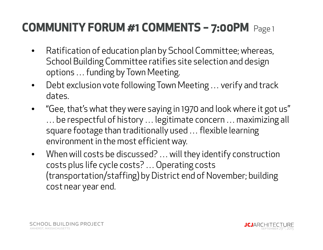- $\bullet$  Ratification of education plan by School Committee; whereas, School Building Committee ratifies site selection and design options … funding by Town Meeting.
- $\bullet$  Debt exclusion vote following Town Meeting … verify and track dates.
- $\bullet$  "Gee, that's what they were saying in 1970 and look where it got us" … be respectful of history … legitimate concern … maximizing all square footage than traditionally used … flexible learning environment in the most efficient way.
- $\bullet$  When will costs be discussed? … will they identify construction costs plus life cycle costs? … Operating costs (transportation/staffing) by District end of November; building cost near year end.

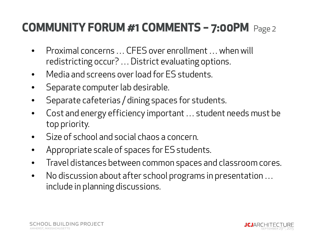- • Proximal concerns … CFES over enrollment … when will redistricting occur? … District evaluating options.
- $\bullet$ Media and screens over load for ES students.
- $\bullet$ Separate computer lab desirable.
- $\bullet$ Separate cafeterias / dining spaces for students.
- $\bullet$  Cost and energy efficiency important … student needs must be top priority.
- $\bullet$ Size of school and social chaos a concern.
- $\bullet$ Appropriate scale of spaces for ES students.
- $\bullet$ Travel distances between common spaces and classroom cores.
- $\bullet$  No discussion about after school programs in presentation … include in planning discussions.

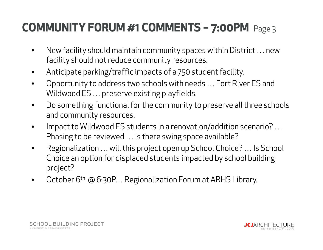- $\bullet$  New facility should maintain community spaces within District … new facility should not reduce community resources.
- $\bullet$ Anticipate parking/traffic impacts of a 750 student facility.
- $\bullet$  Opportunity to address two schools with needs … Fort River ES and Wildwood ES … preserve existing playfields.
- $\bullet$  Do something functional for the community to preserve all three schools and community resources.
- $\bullet$  Impact to Wildwood ES students in a renovation/addition scenario? … Phasing to be reviewed … is there swing space available?
- • Regionalization … will this project open up School Choice? … Is School Choice an option for displaced students impacted by school building project?
- $\bullet$ October 6<sup>th</sup> @ 6:30P... Regionalization Forum at ARHS Library.



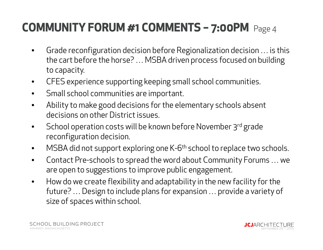- $\bullet$  Grade reconfiguration decision before Regionalization decision … is this the cart before the horse? … MSBA driven process focused on building to capacity.
- $\bullet$ CFES experience supporting keeping small school communities.
- $\bullet$ Small school communities are important.
- $\bullet$  Ability to make good decisions for the elementary schools absent decisions on other District issues.
- $\bullet$ School operation costs will be known before November 3rd grade reconfiguration decision.
- $\bullet$ MSBA did not support exploring one K-6<sup>th</sup> school to replace two schools.
- $\bullet$  Contact Pre-schools to spread the word about Community Forums … we are open to suggestions to improve public engagement.
- $\bullet$  How do we create flexibility and adaptability in the new facility for the future? … Design to include plans for expansion … provide a variety of size of spaces within school.

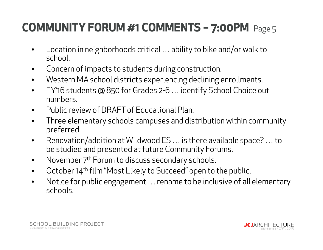- $\bullet$  Location in neighborhoods critical … ability to bike and/or walk to school.
- $\bullet$ Concern of impacts to students during construction.
- $\bullet$ Western MA school districts experiencing declining enrollments.
- $\bullet$  FY'16 students @ 850 for Grades 2-6 … identify School Choice out numbers.
- $\bullet$ Public review of DRAFT of Educational Plan.
- $\bullet$  Three elementary schools campuses and distribution within community preferred.
- $\bullet$  Renovation/addition at Wildwood ES … is there available space? … to be studied and presented at future Community Forums.
- $\bullet$ November 7<sup>th</sup> Forum to discuss secondary schools.
- $\bullet$ October 14<sup>th</sup> film "Most Likely to Succeed" open to the public.
- • Notice for public engagement … rename to be inclusive of all elementary schools.

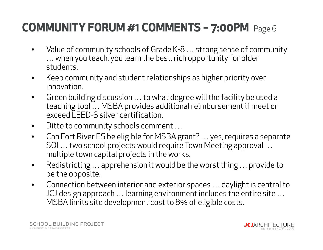- $\bullet$  Value of community schools of Grade K-8 … strong sense of community … when you teach, you learn the best, rich opportunity for older students.
- $\bullet$  Keep community and student relationships as higher priority over innovation.
- $\bullet$  Green building discussion … to what degree will the facility be used a teaching tool … MSBA provides additional reimbursement if meet or exceed LEED-S silver certification.
- $\bullet$ Ditto to community schools comment …
- $\bullet$  Can Fort River ES be eligible for MSBA grant? … yes, requires a separate SOI … two school projects would require Town Meeting approval … multiple town capital projects in the works.
- $\bullet$  Redistricting … apprehension it would be the worst thing … provide to be the opposite.
- $\bullet$  Connection between interior and exterior spaces … daylight is central to JCJ design approach … learning environment includes the entire site … MSBA limits site development cost to 8% of eligible costs.